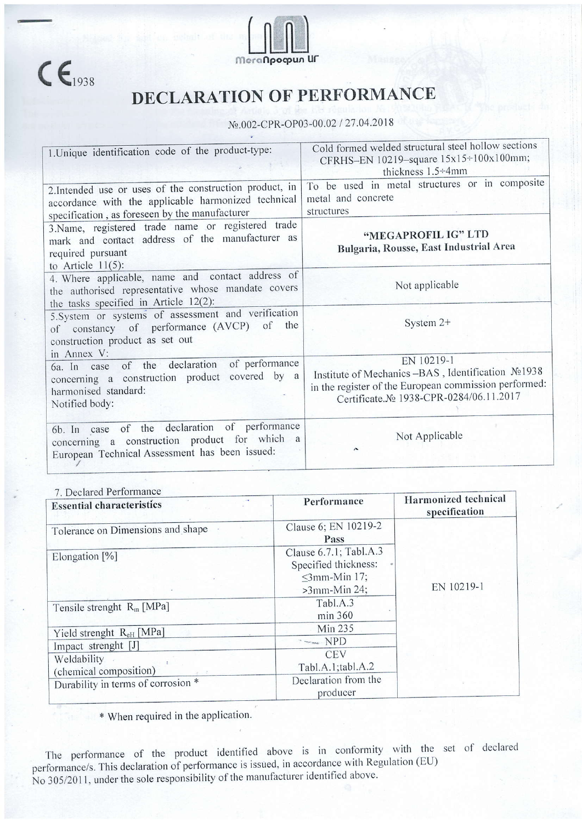



## DECLARATION OF PERFORMANCE

## №.002-CPR-OP03-00.02 / 27.04.2018

| 1. Unique identification code of the product-type:                                                                                                               | Cold formed welded structural steel hollow sections<br>CFRHS-EN 10219-square 15x15÷100x100mm;<br>thickness 1.5÷4mm                                                   |  |
|------------------------------------------------------------------------------------------------------------------------------------------------------------------|----------------------------------------------------------------------------------------------------------------------------------------------------------------------|--|
| 2. Intended use or uses of the construction product, in<br>accordance with the applicable harmonized technical<br>specification, as foreseen by the manufacturer | To be used in metal structures or in composite<br>metal and concrete<br>structures                                                                                   |  |
| 3.Name, registered trade name or registered trade<br>mark and contact address of the manufacturer as<br>required pursuant<br>to Article $11(5)$ :                | "MEGAPROFIL IG" LTD<br>Bulgaria, Rousse, East Industrial Area                                                                                                        |  |
| 4. Where applicable, name and contact address of<br>the authorised representative whose mandate covers<br>the tasks specified in Article 12(2):                  | Not applicable                                                                                                                                                       |  |
| 5. System or systems of assessment and verification<br>of constancy of performance (AVCP) of the<br>construction product as set out                              | System 2+                                                                                                                                                            |  |
| in Annex V:<br>of the declaration of performance<br>6a. In case<br>concerning a construction product covered by a<br>harmonised standard:<br>Notified body:      | EN 10219-1<br>Institute of Mechanics -BAS, Identification No1938<br>in the register of the European commission performed:<br>Certificate.No 1938-CPR-0284/06.11.2017 |  |
| 6b. In case of the declaration of performance<br>concerning a construction product for which a<br>European Technical Assessment has been issued:                 | Not Applicable<br>$\sim$                                                                                                                                             |  |

## 7 Declared Performance

| ). Decial eu Ferrormanec<br><b>Essential characteristics</b> | Performance                                                                             | Harmonized technical<br>specification |
|--------------------------------------------------------------|-----------------------------------------------------------------------------------------|---------------------------------------|
| Tolerance on Dimensions and shape                            | Clause 6; EN 10219-2<br>Pass                                                            | EN 10219-1                            |
| Elongation [%]                                               | Clause 6.7.1; Tabl.A.3<br>Specified thickness:<br>$\leq$ 3mm-Min 17;<br>$>3$ mm-Min 24; |                                       |
| Tensile strenght $R_m$ [MPa]                                 | Tabl.A.3<br>min 360                                                                     |                                       |
| Yield strenght $R_{\text{eH}}$ [MPa]                         | Min 235                                                                                 |                                       |
| Impact strenght [J]                                          | $\bar{ }$ $\sim$ $\infty$ NPD                                                           |                                       |
| Weldability<br>(chemical composition)                        | <b>CEV</b><br>Tabl.A.1;tabl.A.2                                                         |                                       |
| Durability in terms of corrosion *                           | Declaration from the<br>producer                                                        |                                       |

\* When required in the application.

The performance of the product identified above is in conformity with the set of declared performance/s. This declaration of performance is issued, in accordance with Regulation (EU) No 305/2011, under the sole responsibility of the manufacturer identified above.